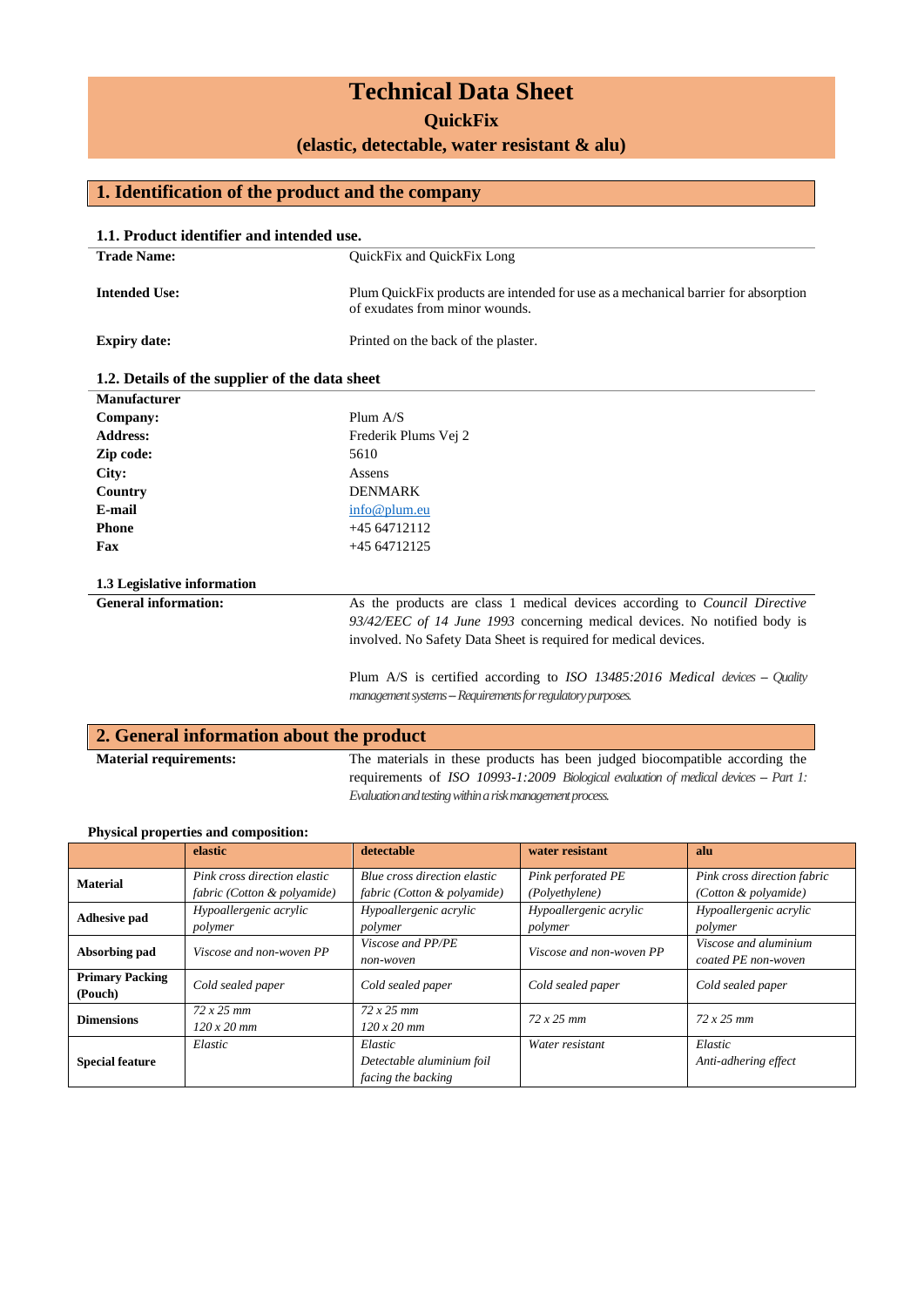# **Technical Data Sheet**

**QuickFix**

**(elastic, detectable, water resistant & alu)**

### **1. Identification of the product and the company**

| <b>Trade Name:</b>                             | 1.1. Product identifier and intended use.<br><b>OuickFix and OuickFix Long</b>     |  |  |
|------------------------------------------------|------------------------------------------------------------------------------------|--|--|
|                                                |                                                                                    |  |  |
| <b>Intended Use:</b>                           | Plum QuickFix products are intended for use as a mechanical barrier for absorption |  |  |
|                                                | of exudates from minor wounds.                                                     |  |  |
| <b>Expiry date:</b>                            | Printed on the back of the plaster.                                                |  |  |
| 1.2. Details of the supplier of the data sheet |                                                                                    |  |  |
| Manufacturer                                   |                                                                                    |  |  |
| Company:                                       | Plum $A/S$                                                                         |  |  |
| <b>Address:</b>                                | Frederik Plums Vej 2                                                               |  |  |
| Zip code:                                      | 5610                                                                               |  |  |
| City:                                          | Assens                                                                             |  |  |
| Country                                        | <b>DENMARK</b>                                                                     |  |  |
| E-mail                                         | info@plum.eu                                                                       |  |  |
| <b>Phone</b>                                   | $+4564712112$                                                                      |  |  |
| Fax                                            | $+4564712125$                                                                      |  |  |
| 1.3 Legislative information                    |                                                                                    |  |  |
| <b>General information:</b>                    | As the products are class 1 medical devices according to Council Directive         |  |  |
|                                                | 93/42/EEC of 14 June 1993 concerning medical devices. No notified body is          |  |  |
|                                                | involved. No Safety Data Sheet is required for medical devices.                    |  |  |
|                                                | Plum $A/S$ is certified according to ISO 13485:2016 Medical devices - Quality      |  |  |
|                                                | management systems -- Requirements for regulatory purposes.                        |  |  |

| 2. General information about the product |                                                                                      |  |  |  |  |
|------------------------------------------|--------------------------------------------------------------------------------------|--|--|--|--|
| <b>Material requirements:</b>            | The materials in these products has been judged biocompatible according the          |  |  |  |  |
|                                          | requirements of ISO 10993-1:2009 Biological evaluation of medical devices -- Part 1: |  |  |  |  |
|                                          | Evaluation and testing within a risk management process.                             |  |  |  |  |

|                                   | elastic                                                     | detectable                                                  | water resistant                      | alu                                                 |
|-----------------------------------|-------------------------------------------------------------|-------------------------------------------------------------|--------------------------------------|-----------------------------------------------------|
| <b>Material</b>                   | Pink cross direction elastic<br>fabric (Cotton & polyamide) | Blue cross direction elastic<br>fabric (Cotton & polyamide) | Pink perforated PE<br>(Polyethylene) | Pink cross direction fabric<br>(Cotton & polyamide) |
| <b>Adhesive pad</b>               | Hypoallergenic acrylic<br>polymer                           | Hypoallergenic acrylic<br>polymer                           | Hypoallergenic acrylic<br>polymer    | Hypoallergenic acrylic<br>polymer                   |
| Absorbing pad                     | Viscose and non-woven PP                                    | Viscose and PP/PE<br>non-woven                              | Viscose and non-woven PP             | Viscose and aluminium<br>coated PE non-woven        |
| <b>Primary Packing</b><br>(Pouch) | Cold sealed paper                                           | Cold sealed paper                                           | Cold sealed paper                    | Cold sealed paper                                   |
| <b>Dimensions</b>                 | $72x25$ mm<br>$120x20$ mm                                   | $72 \times 25$ mm<br>$120x20$ mm                            | $72x25$ mm                           | $72 \times 25$ mm                                   |
| <b>Special feature</b>            | Elastic                                                     | Elastic<br>Detectable aluminium foil<br>facing the backing  | Water resistant                      | Elastic<br>Anti-adhering effect                     |

#### **Physical properties and composition:**